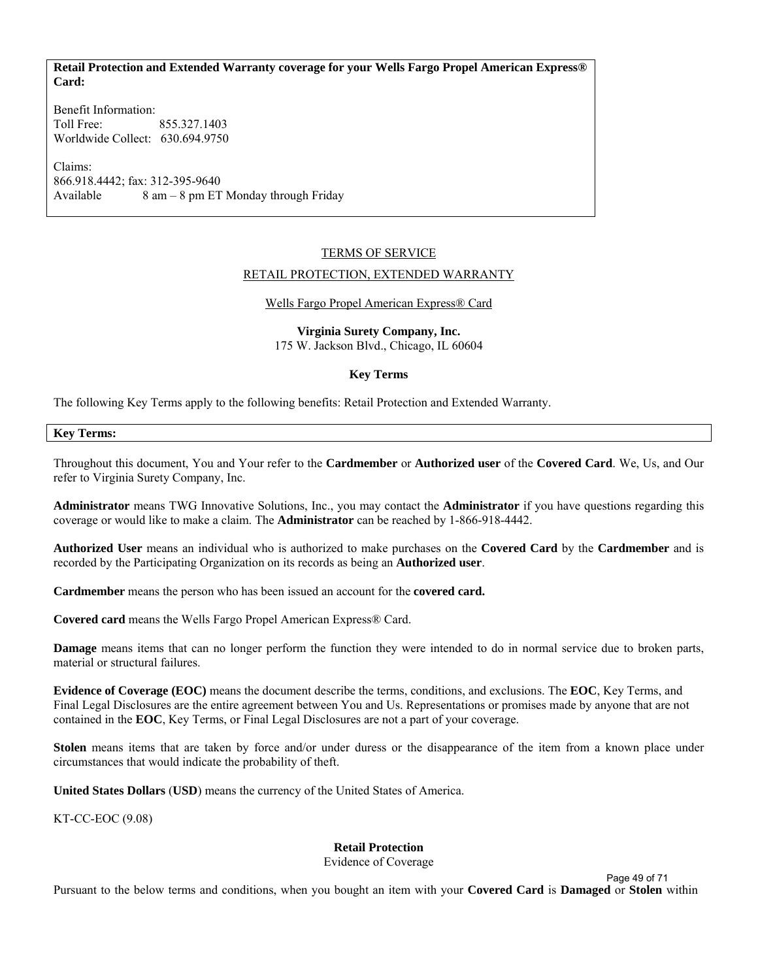# **Retail Protection and Extended Warranty coverage for your Wells Fargo Propel American Express® Card:**

Benefit Information: Toll Free: 855.327.1403 Worldwide Collect: 630.694.9750

Claims: 866.918.4442; fax: 312-395-9640 Available  $8 \text{ am} - 8 \text{ pm} \text{ ET } \text{ Monday through Friday}$ 

## TERMS OF SERVICE

#### RETAIL PROTECTION, EXTENDED WARRANTY

## Wells Fargo Propel American Express® Card

**Virginia Surety Company, Inc.**  175 W. Jackson Blvd., Chicago, IL 60604

## **Key Terms**

The following Key Terms apply to the following benefits: Retail Protection and Extended Warranty.

## **Key Terms:**

Throughout this document, You and Your refer to the **Cardmember** or **Authorized user** of the **Covered Card**. We, Us, and Our refer to Virginia Surety Company, Inc.

**Administrator** means TWG Innovative Solutions, Inc., you may contact the **Administrator** if you have questions regarding this coverage or would like to make a claim. The **Administrator** can be reached by 1-866-918-4442.

**Authorized User** means an individual who is authorized to make purchases on the **Covered Card** by the **Cardmember** and is recorded by the Participating Organization on its records as being an **Authorized user**.

**Cardmember** means the person who has been issued an account for the **covered card.**

**Covered card** means the Wells Fargo Propel American Express® Card.

**Damage** means items that can no longer perform the function they were intended to do in normal service due to broken parts, material or structural failures.

**Evidence of Coverage (EOC)** means the document describe the terms, conditions, and exclusions. The **EOC**, Key Terms, and Final Legal Disclosures are the entire agreement between You and Us. Representations or promises made by anyone that are not contained in the **EOC**, Key Terms, or Final Legal Disclosures are not a part of your coverage.

**Stolen** means items that are taken by force and/or under duress or the disappearance of the item from a known place under circumstances that would indicate the probability of theft.

**United States Dollars** (**USD**) means the currency of the United States of America.

KT-CC-EOC (9.08)

# **Retail Protection**

Evidence of Coverage

Pursuant to the below terms and conditions, when you bought an item with your **Covered Card** is **Damaged** or **Stolen** within Page 49 of 71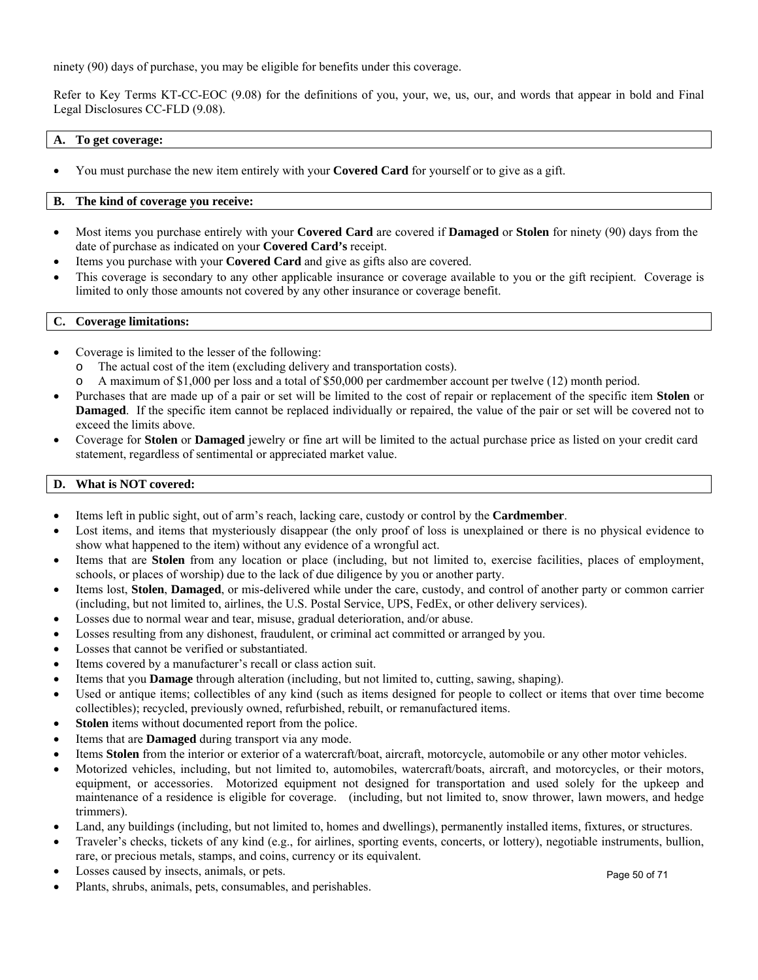ninety (90) days of purchase, you may be eligible for benefits under this coverage.

Refer to Key Terms KT-CC-EOC (9.08) for the definitions of you, your, we, us, our, and words that appear in bold and Final Legal Disclosures CC-FLD (9.08).

# **A. To get coverage:**

You must purchase the new item entirely with your **Covered Card** for yourself or to give as a gift.

# **B. The kind of coverage you receive:**

- Most items you purchase entirely with your **Covered Card** are covered if **Damaged** or **Stolen** for ninety (90) days from the date of purchase as indicated on your **Covered Card's** receipt.
- Items you purchase with your **Covered Card** and give as gifts also are covered.
- This coverage is secondary to any other applicable insurance or coverage available to you or the gift recipient. Coverage is limited to only those amounts not covered by any other insurance or coverage benefit.

## **C. Coverage limitations:**

- Coverage is limited to the lesser of the following:
	- o The actual cost of the item (excluding delivery and transportation costs).
	- o A maximum of \$1,000 per loss and a total of \$50,000 per cardmember account per twelve (12) month period.
- Purchases that are made up of a pair or set will be limited to the cost of repair or replacement of the specific item **Stolen** or **Damaged**. If the specific item cannot be replaced individually or repaired, the value of the pair or set will be covered not to exceed the limits above.
- Coverage for **Stolen** or **Damaged** jewelry or fine art will be limited to the actual purchase price as listed on your credit card statement, regardless of sentimental or appreciated market value.

## **D. What is NOT covered:**

- Items left in public sight, out of arm's reach, lacking care, custody or control by the **Cardmember**.
- Lost items, and items that mysteriously disappear (the only proof of loss is unexplained or there is no physical evidence to show what happened to the item) without any evidence of a wrongful act.
- Items that are **Stolen** from any location or place (including, but not limited to, exercise facilities, places of employment, schools, or places of worship) due to the lack of due diligence by you or another party.
- Items lost, **Stolen**, **Damaged**, or mis-delivered while under the care, custody, and control of another party or common carrier (including, but not limited to, airlines, the U.S. Postal Service, UPS, FedEx, or other delivery services).
- Losses due to normal wear and tear, misuse, gradual deterioration, and/or abuse.
- Losses resulting from any dishonest, fraudulent, or criminal act committed or arranged by you.
- Losses that cannot be verified or substantiated.
- Items covered by a manufacturer's recall or class action suit.
- Items that you **Damage** through alteration (including, but not limited to, cutting, sawing, shaping).
- Used or antique items; collectibles of any kind (such as items designed for people to collect or items that over time become collectibles); recycled, previously owned, refurbished, rebuilt, or remanufactured items.
- **Stolen** items without documented report from the police.
- Items that are **Damaged** during transport via any mode.
- Items **Stolen** from the interior or exterior of a watercraft/boat, aircraft, motorcycle, automobile or any other motor vehicles.
- Motorized vehicles, including, but not limited to, automobiles, watercraft/boats, aircraft, and motorcycles, or their motors, equipment, or accessories. Motorized equipment not designed for transportation and used solely for the upkeep and maintenance of a residence is eligible for coverage. (including, but not limited to, snow thrower, lawn mowers, and hedge trimmers).
- Land, any buildings (including, but not limited to, homes and dwellings), permanently installed items, fixtures, or structures.
- Traveler's checks, tickets of any kind (e.g., for airlines, sporting events, concerts, or lottery), negotiable instruments, bullion, rare, or precious metals, stamps, and coins, currency or its equivalent.
- Losses caused by insects, animals, or pets.
- Plants, shrubs, animals, pets, consumables, and perishables.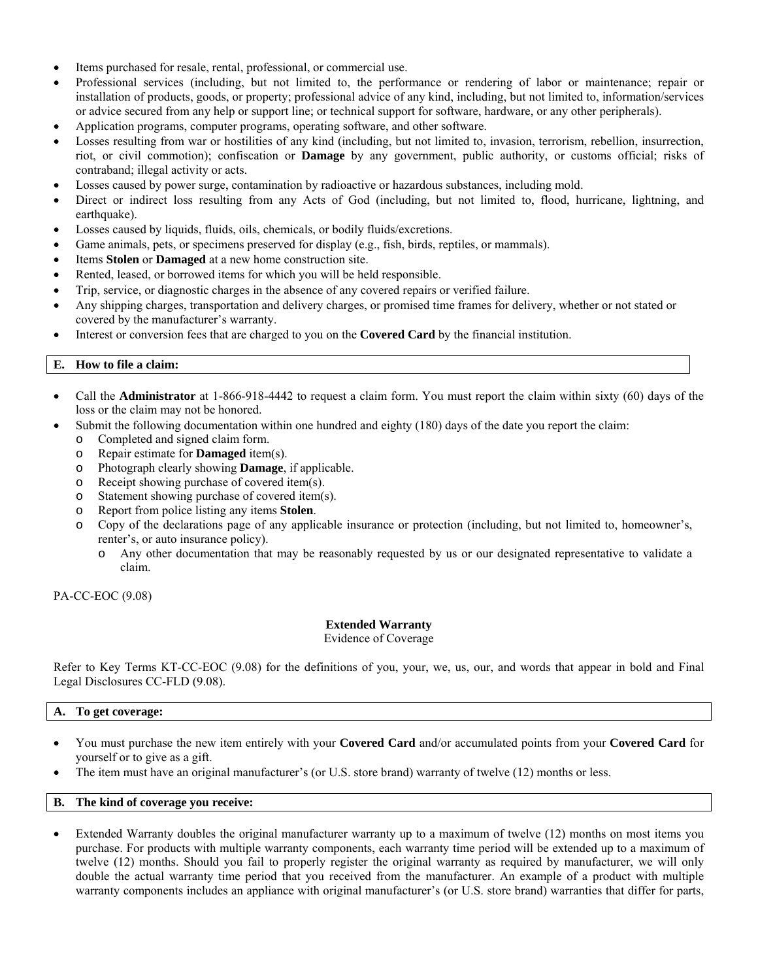- Items purchased for resale, rental, professional, or commercial use.
- Professional services (including, but not limited to, the performance or rendering of labor or maintenance; repair or installation of products, goods, or property; professional advice of any kind, including, but not limited to, information/services or advice secured from any help or support line; or technical support for software, hardware, or any other peripherals).
- Application programs, computer programs, operating software, and other software.
- Losses resulting from war or hostilities of any kind (including, but not limited to, invasion, terrorism, rebellion, insurrection, riot, or civil commotion); confiscation or **Damage** by any government, public authority, or customs official; risks of contraband; illegal activity or acts.
- Losses caused by power surge, contamination by radioactive or hazardous substances, including mold.
- Direct or indirect loss resulting from any Acts of God (including, but not limited to, flood, hurricane, lightning, and earthquake).
- Losses caused by liquids, fluids, oils, chemicals, or bodily fluids/excretions.
- Game animals, pets, or specimens preserved for display (e.g., fish, birds, reptiles, or mammals).
- Items **Stolen** or **Damaged** at a new home construction site.
- Rented, leased, or borrowed items for which you will be held responsible.
- Trip, service, or diagnostic charges in the absence of any covered repairs or verified failure.
- Any shipping charges, transportation and delivery charges, or promised time frames for delivery, whether or not stated or covered by the manufacturer's warranty.
- Interest or conversion fees that are charged to you on the **Covered Card** by the financial institution.

## **E. How to file a claim:**

- Call the **Administrator** at 1-866-918-4442 to request a claim form. You must report the claim within sixty (60) days of the loss or the claim may not be honored.
- Submit the following documentation within one hundred and eighty (180) days of the date you report the claim:
	- o Completed and signed claim form.
	- o Repair estimate for **Damaged** item(s).
	- o Photograph clearly showing **Damage**, if applicable.
	- o Receipt showing purchase of covered item(s).
	- o Statement showing purchase of covered item(s).
	- o Report from police listing any items **Stolen**.
	- o Copy of the declarations page of any applicable insurance or protection (including, but not limited to, homeowner's, renter's, or auto insurance policy).
		- o Any other documentation that may be reasonably requested by us or our designated representative to validate a claim.

#### PA-CC-EOC (9.08)

#### **Extended Warranty**

Evidence of Coverage

Refer to Key Terms KT-CC-EOC (9.08) for the definitions of you, your, we, us, our, and words that appear in bold and Final Legal Disclosures CC-FLD (9.08).

#### **A. To get coverage:**

- You must purchase the new item entirely with your **Covered Card** and/or accumulated points from your **Covered Card** for yourself or to give as a gift.
- The item must have an original manufacturer's (or U.S. store brand) warranty of twelve (12) months or less.

# **B. The kind of coverage you receive:**

 Extended Warranty doubles the original manufacturer warranty up to a maximum of twelve (12) months on most items you purchase. For products with multiple warranty components, each warranty time period will be extended up to a maximum of twelve (12) months. Should you fail to properly register the original warranty as required by manufacturer, we will only double the actual warranty time period that you received from the manufacturer. An example of a product with multiple warranty components includes an appliance with original manufacturer's (or U.S. store brand) warranties that differ for parts,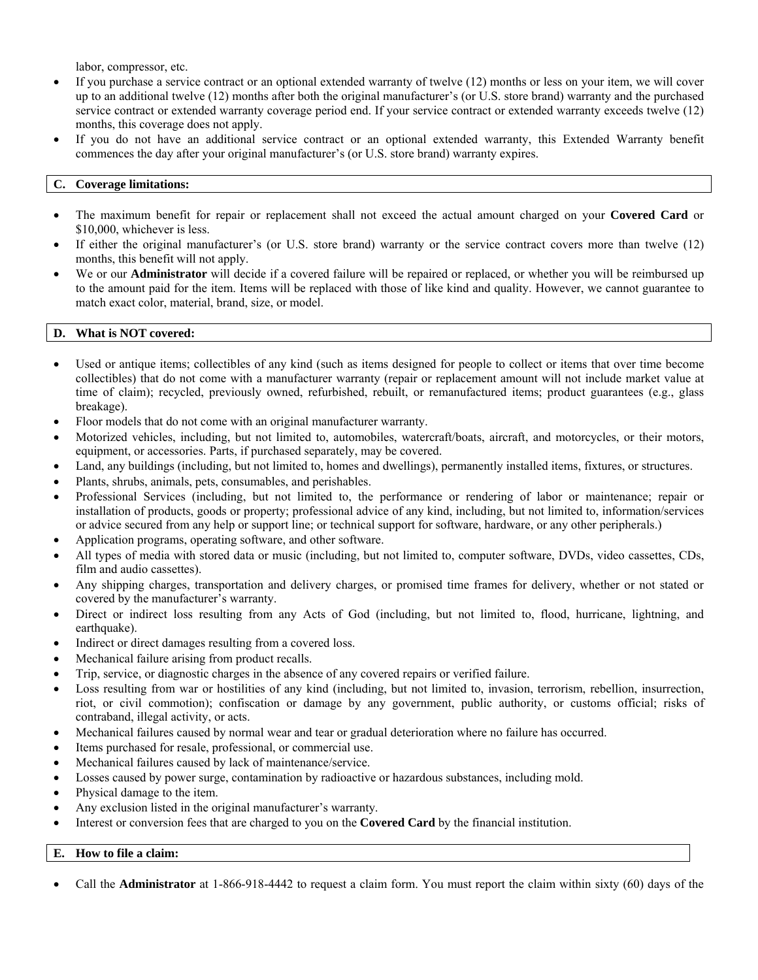labor, compressor, etc.

- If you purchase a service contract or an optional extended warranty of twelve (12) months or less on your item, we will cover up to an additional twelve (12) months after both the original manufacturer's (or U.S. store brand) warranty and the purchased service contract or extended warranty coverage period end. If your service contract or extended warranty exceeds twelve (12) months, this coverage does not apply.
- If you do not have an additional service contract or an optional extended warranty, this Extended Warranty benefit commences the day after your original manufacturer's (or U.S. store brand) warranty expires.

# **C. Coverage limitations:**

- The maximum benefit for repair or replacement shall not exceed the actual amount charged on your **Covered Card** or \$10,000, whichever is less.
- If either the original manufacturer's (or U.S. store brand) warranty or the service contract covers more than twelve (12) months, this benefit will not apply.
- We or our **Administrator** will decide if a covered failure will be repaired or replaced, or whether you will be reimbursed up to the amount paid for the item. Items will be replaced with those of like kind and quality. However, we cannot guarantee to match exact color, material, brand, size, or model.

# **D. What is NOT covered:**

- Used or antique items; collectibles of any kind (such as items designed for people to collect or items that over time become collectibles) that do not come with a manufacturer warranty (repair or replacement amount will not include market value at time of claim); recycled, previously owned, refurbished, rebuilt, or remanufactured items; product guarantees (e.g., glass breakage).
- Floor models that do not come with an original manufacturer warranty.
- Motorized vehicles, including, but not limited to, automobiles, watercraft/boats, aircraft, and motorcycles, or their motors, equipment, or accessories. Parts, if purchased separately, may be covered.
- Land, any buildings (including, but not limited to, homes and dwellings), permanently installed items, fixtures, or structures.
- Plants, shrubs, animals, pets, consumables, and perishables.
- Professional Services (including, but not limited to, the performance or rendering of labor or maintenance; repair or installation of products, goods or property; professional advice of any kind, including, but not limited to, information/services or advice secured from any help or support line; or technical support for software, hardware, or any other peripherals.)
- Application programs, operating software, and other software.
- All types of media with stored data or music (including, but not limited to, computer software, DVDs, video cassettes, CDs, film and audio cassettes).
- Any shipping charges, transportation and delivery charges, or promised time frames for delivery, whether or not stated or covered by the manufacturer's warranty.
- Direct or indirect loss resulting from any Acts of God (including, but not limited to, flood, hurricane, lightning, and earthquake).
- Indirect or direct damages resulting from a covered loss.
- Mechanical failure arising from product recalls.
- Trip, service, or diagnostic charges in the absence of any covered repairs or verified failure.
- Loss resulting from war or hostilities of any kind (including, but not limited to, invasion, terrorism, rebellion, insurrection, riot, or civil commotion); confiscation or damage by any government, public authority, or customs official; risks of contraband, illegal activity, or acts.
- Mechanical failures caused by normal wear and tear or gradual deterioration where no failure has occurred.
- Items purchased for resale, professional, or commercial use.
- Mechanical failures caused by lack of maintenance/service.
- Losses caused by power surge, contamination by radioactive or hazardous substances, including mold.
- Physical damage to the item.
- Any exclusion listed in the original manufacturer's warranty.
- Interest or conversion fees that are charged to you on the **Covered Card** by the financial institution.

# **E. How to file a claim:**

Call the **Administrator** at 1-866-918-4442 to request a claim form. You must report the claim within sixty (60) days of the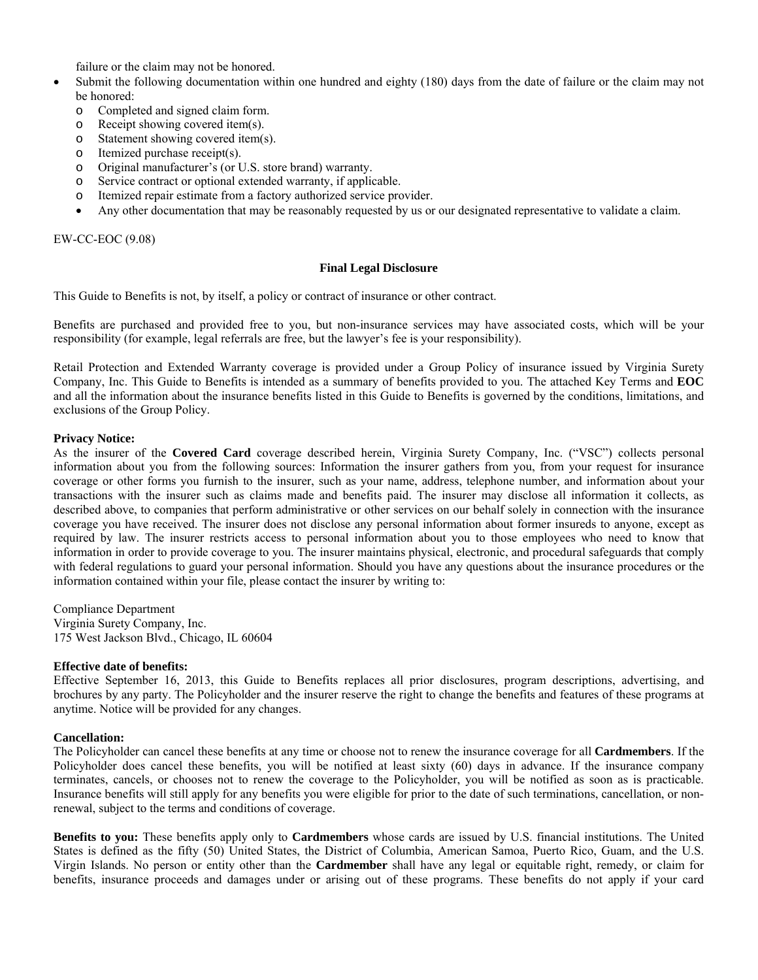failure or the claim may not be honored.

- Submit the following documentation within one hundred and eighty (180) days from the date of failure or the claim may not be honored:
	- o Completed and signed claim form.
	- o Receipt showing covered item(s).
	- o Statement showing covered item(s).
	- o Itemized purchase receipt(s).
	- o Original manufacturer's (or U.S. store brand) warranty.
	- o Service contract or optional extended warranty, if applicable.
	- o Itemized repair estimate from a factory authorized service provider.
	- Any other documentation that may be reasonably requested by us or our designated representative to validate a claim.

EW-CC-EOC (9.08)

#### **Final Legal Disclosure**

This Guide to Benefits is not, by itself, a policy or contract of insurance or other contract.

Benefits are purchased and provided free to you, but non-insurance services may have associated costs, which will be your responsibility (for example, legal referrals are free, but the lawyer's fee is your responsibility).

Retail Protection and Extended Warranty coverage is provided under a Group Policy of insurance issued by Virginia Surety Company, Inc. This Guide to Benefits is intended as a summary of benefits provided to you. The attached Key Terms and **EOC** and all the information about the insurance benefits listed in this Guide to Benefits is governed by the conditions, limitations, and exclusions of the Group Policy.

# **Privacy Notice:**

As the insurer of the **Covered Card** coverage described herein, Virginia Surety Company, Inc. ("VSC") collects personal information about you from the following sources: Information the insurer gathers from you, from your request for insurance coverage or other forms you furnish to the insurer, such as your name, address, telephone number, and information about your transactions with the insurer such as claims made and benefits paid. The insurer may disclose all information it collects, as described above, to companies that perform administrative or other services on our behalf solely in connection with the insurance coverage you have received. The insurer does not disclose any personal information about former insureds to anyone, except as required by law. The insurer restricts access to personal information about you to those employees who need to know that information in order to provide coverage to you. The insurer maintains physical, electronic, and procedural safeguards that comply with federal regulations to guard your personal information. Should you have any questions about the insurance procedures or the information contained within your file, please contact the insurer by writing to:

Compliance Department Virginia Surety Company, Inc. 175 West Jackson Blvd., Chicago, IL 60604

#### **Effective date of benefits:**

Effective September 16, 2013, this Guide to Benefits replaces all prior disclosures, program descriptions, advertising, and brochures by any party. The Policyholder and the insurer reserve the right to change the benefits and features of these programs at anytime. Notice will be provided for any changes.

#### **Cancellation:**

The Policyholder can cancel these benefits at any time or choose not to renew the insurance coverage for all **Cardmembers**. If the Policyholder does cancel these benefits, you will be notified at least sixty (60) days in advance. If the insurance company terminates, cancels, or chooses not to renew the coverage to the Policyholder, you will be notified as soon as is practicable. Insurance benefits will still apply for any benefits you were eligible for prior to the date of such terminations, cancellation, or nonrenewal, subject to the terms and conditions of coverage.

**Benefits to you:** These benefits apply only to **Cardmembers** whose cards are issued by U.S. financial institutions. The United States is defined as the fifty (50) United States, the District of Columbia, American Samoa, Puerto Rico, Guam, and the U.S. Virgin Islands. No person or entity other than the **Cardmember** shall have any legal or equitable right, remedy, or claim for benefits, insurance proceeds and damages under or arising out of these programs. These benefits do not apply if your card